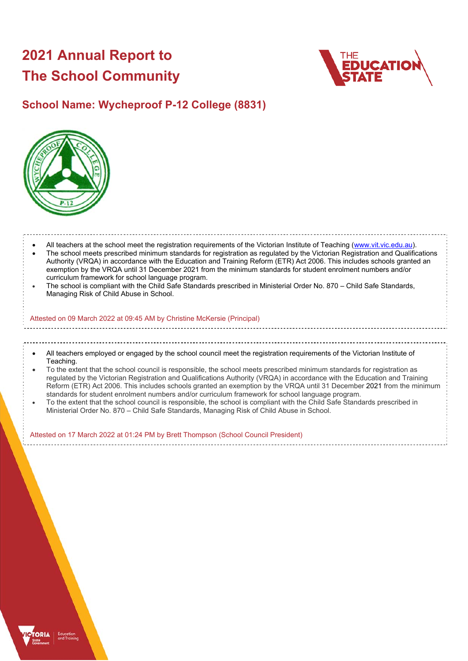# **2021 Annual Report to The School Community**



## **School Name: Wycheproof P-12 College (8831)**



## All teachers at the school meet the registration requirements of the Victorian Institute of Teaching (www.vit.vic.edu.au).

- The school meets prescribed minimum standards for registration as regulated by the Victorian Registration and Qualifications Authority (VRQA) in accordance with the Education and Training Reform (ETR) Act 2006. This includes schools granted an exemption by the VRQA until 31 December 2021 from the minimum standards for student enrolment numbers and/or curriculum framework for school language program.
- The school is compliant with the Child Safe Standards prescribed in Ministerial Order No. 870 Child Safe Standards, Managing Risk of Child Abuse in School.

#### Attested on 09 March 2022 at 09:45 AM by Christine McKersie (Principal)

- All teachers employed or engaged by the school council meet the registration requirements of the Victorian Institute of Teaching.
- To the extent that the school council is responsible, the school meets prescribed minimum standards for registration as regulated by the Victorian Registration and Qualifications Authority (VRQA) in accordance with the Education and Training Reform (ETR) Act 2006. This includes schools granted an exemption by the VRQA until 31 December 2021 from the minimum standards for student enrolment numbers and/or curriculum framework for school language program.
- To the extent that the school council is responsible, the school is compliant with the Child Safe Standards prescribed in Ministerial Order No. 870 – Child Safe Standards, Managing Risk of Child Abuse in School.

Attested on 17 March 2022 at 01:24 PM by Brett Thompson (School Council President)

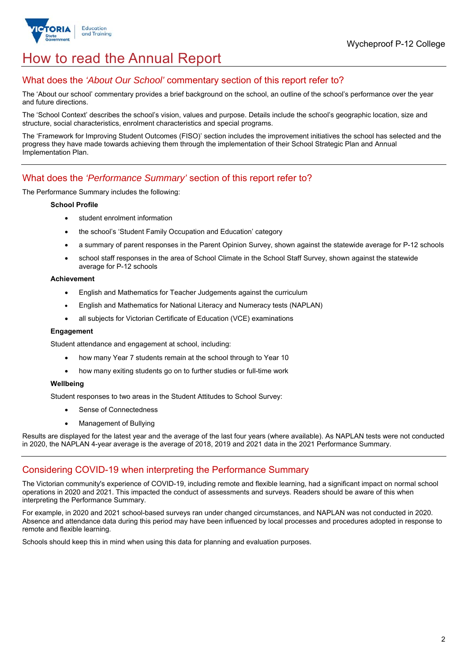

## How to read the Annual Report

## What does the *'About Our School'* commentary section of this report refer to?

The 'About our school' commentary provides a brief background on the school, an outline of the school's performance over the year and future directions.

The 'School Context' describes the school's vision, values and purpose. Details include the school's geographic location, size and structure, social characteristics, enrolment characteristics and special programs.

The 'Framework for Improving Student Outcomes (FISO)' section includes the improvement initiatives the school has selected and the progress they have made towards achieving them through the implementation of their School Strategic Plan and Annual Implementation Plan.

## What does the *'Performance Summary'* section of this report refer to?

#### The Performance Summary includes the following:

#### **School Profile**

- student enrolment information
- the school's 'Student Family Occupation and Education' category
- a summary of parent responses in the Parent Opinion Survey, shown against the statewide average for P-12 schools
- school staff responses in the area of School Climate in the School Staff Survey, shown against the statewide average for P-12 schools

#### **Achievement**

- English and Mathematics for Teacher Judgements against the curriculum
- English and Mathematics for National Literacy and Numeracy tests (NAPLAN)
- all subjects for Victorian Certificate of Education (VCE) examinations

#### **Engagement**

Student attendance and engagement at school, including:

- how many Year 7 students remain at the school through to Year 10
- how many exiting students go on to further studies or full-time work

#### **Wellbeing**

Student responses to two areas in the Student Attitudes to School Survey:

- Sense of Connectedness
- Management of Bullying

Results are displayed for the latest year and the average of the last four years (where available). As NAPLAN tests were not conducted in 2020, the NAPLAN 4-year average is the average of 2018, 2019 and 2021 data in the 2021 Performance Summary.

### Considering COVID-19 when interpreting the Performance Summary

The Victorian community's experience of COVID-19, including remote and flexible learning, had a significant impact on normal school operations in 2020 and 2021. This impacted the conduct of assessments and surveys. Readers should be aware of this when interpreting the Performance Summary.

For example, in 2020 and 2021 school-based surveys ran under changed circumstances, and NAPLAN was not conducted in 2020. Absence and attendance data during this period may have been influenced by local processes and procedures adopted in response to remote and flexible learning.

Schools should keep this in mind when using this data for planning and evaluation purposes.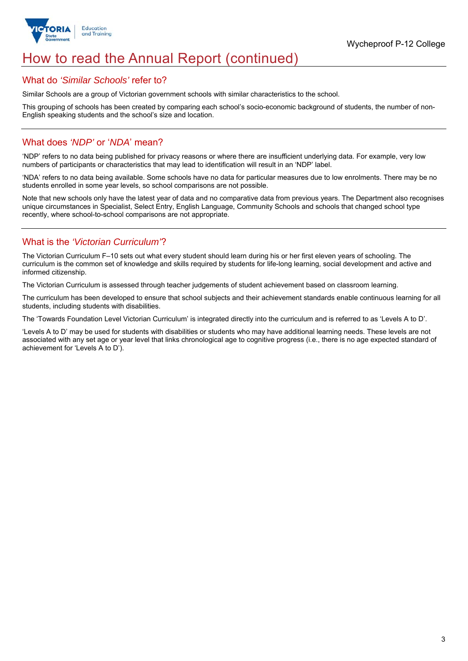

## How to read the Annual Report (continued)

#### What do *'Similar Schools'* refer to?

Similar Schools are a group of Victorian government schools with similar characteristics to the school.

This grouping of schools has been created by comparing each school's socio-economic background of students, the number of non-English speaking students and the school's size and location.

## What does *'NDP'* or '*NDA*' mean?

'NDP' refers to no data being published for privacy reasons or where there are insufficient underlying data. For example, very low numbers of participants or characteristics that may lead to identification will result in an 'NDP' label.

'NDA' refers to no data being available. Some schools have no data for particular measures due to low enrolments. There may be no students enrolled in some year levels, so school comparisons are not possible.

Note that new schools only have the latest year of data and no comparative data from previous years. The Department also recognises unique circumstances in Specialist, Select Entry, English Language, Community Schools and schools that changed school type recently, where school-to-school comparisons are not appropriate.

## What is the *'Victorian Curriculum'*?

The Victorian Curriculum F–10 sets out what every student should learn during his or her first eleven years of schooling. The curriculum is the common set of knowledge and skills required by students for life-long learning, social development and active and informed citizenship.

The Victorian Curriculum is assessed through teacher judgements of student achievement based on classroom learning.

The curriculum has been developed to ensure that school subjects and their achievement standards enable continuous learning for all students, including students with disabilities.

The 'Towards Foundation Level Victorian Curriculum' is integrated directly into the curriculum and is referred to as 'Levels A to D'.

'Levels A to D' may be used for students with disabilities or students who may have additional learning needs. These levels are not associated with any set age or year level that links chronological age to cognitive progress (i.e., there is no age expected standard of achievement for 'Levels A to D').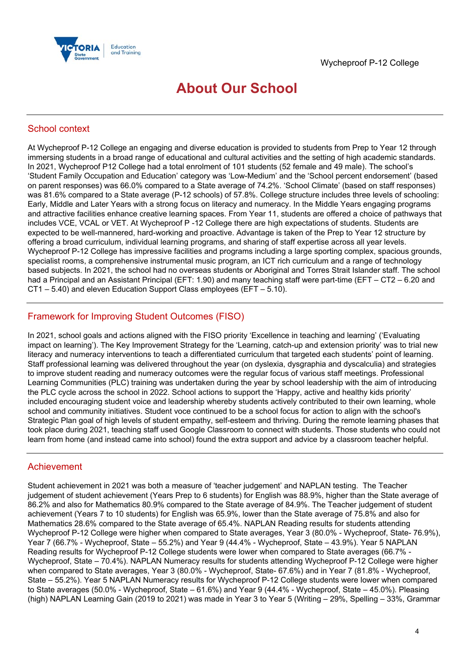

## **About Our School**

## School context

At Wycheproof P-12 College an engaging and diverse education is provided to students from Prep to Year 12 through immersing students in a broad range of educational and cultural activities and the setting of high academic standards. In 2021, Wycheproof P12 College had a total enrolment of 101 students (52 female and 49 male). The school's 'Student Family Occupation and Education' category was 'Low-Medium' and the 'School percent endorsement' (based on parent responses) was 66.0% compared to a State average of 74.2%. 'School Climate' (based on staff responses) was 81.6% compared to a State average (P-12 schools) of 57.8%. College structure includes three levels of schooling: Early, Middle and Later Years with a strong focus on literacy and numeracy. In the Middle Years engaging programs and attractive facilities enhance creative learning spaces. From Year 11, students are offered a choice of pathways that includes VCE, VCAL or VET. At Wycheproof P -12 College there are high expectations of students. Students are expected to be well-mannered, hard-working and proactive. Advantage is taken of the Prep to Year 12 structure by offering a broad curriculum, individual learning programs, and sharing of staff expertise across all year levels. Wycheproof P-12 College has impressive facilities and programs including a large sporting complex, spacious grounds, specialist rooms, a comprehensive instrumental music program, an ICT rich curriculum and a range of technology based subjects. In 2021, the school had no overseas students or Aboriginal and Torres Strait Islander staff. The school had a Principal and an Assistant Principal (EFT: 1.90) and many teaching staff were part-time (EFT – CT2 – 6.20 and CT1 – 5.40) and eleven Education Support Class employees (EFT – 5.10).

## Framework for Improving Student Outcomes (FISO)

In 2021, school goals and actions aligned with the FISO priority 'Excellence in teaching and learning' ('Evaluating impact on learning'). The Key Improvement Strategy for the 'Learning, catch-up and extension priority' was to trial new literacy and numeracy interventions to teach a differentiated curriculum that targeted each students' point of learning. Staff professional learning was delivered throughout the year (on dyslexia, dysgraphia and dyscalculia) and strategies to improve student reading and numeracy outcomes were the regular focus of various staff meetings. Professional Learning Communities (PLC) training was undertaken during the year by school leadership with the aim of introducing the PLC cycle across the school in 2022. School actions to support the 'Happy, active and healthy kids priority' included encouraging student voice and leadership whereby students actively contributed to their own learning, whole school and community initiatives. Student voce continued to be a school focus for action to align with the school's Strategic Plan goal of high levels of student empathy, self-esteem and thriving. During the remote learning phases that took place during 2021, teaching staff used Google Classroom to connect with students. Those students who could not learn from home (and instead came into school) found the extra support and advice by a classroom teacher helpful.

### Achievement

Student achievement in 2021 was both a measure of 'teacher judgement' and NAPLAN testing. The Teacher judgement of student achievement (Years Prep to 6 students) for English was 88.9%, higher than the State average of 86.2% and also for Mathematics 80.9% compared to the State average of 84.9%. The Teacher judgement of student achievement (Years 7 to 10 students) for English was 65.9%, lower than the State average of 75.8% and also for Mathematics 28.6% compared to the State average of 65.4%. NAPLAN Reading results for students attending Wycheproof P-12 College were higher when compared to State averages, Year 3 (80.0% - Wycheproof, State- 76.9%), Year 7 (66.7% - Wycheproof, State – 55.2%) and Year 9 (44.4% - Wycheproof, State – 43.9%). Year 5 NAPLAN Reading results for Wycheproof P-12 College students were lower when compared to State averages (66.7% - Wycheproof, State – 70.4%). NAPLAN Numeracy results for students attending Wycheproof P-12 College were higher when compared to State averages, Year 3 (80.0% - Wycheproof, State- 67.6%) and in Year 7 (81.8% - Wycheproof, State – 55.2%). Year 5 NAPLAN Numeracy results for Wycheproof P-12 College students were lower when compared to State averages (50.0% - Wycheproof, State – 61.6%) and Year 9 (44.4% - Wycheproof, State – 45.0%). Pleasing (high) NAPLAN Learning Gain (2019 to 2021) was made in Year 3 to Year 5 (Writing – 29%, Spelling – 33%, Grammar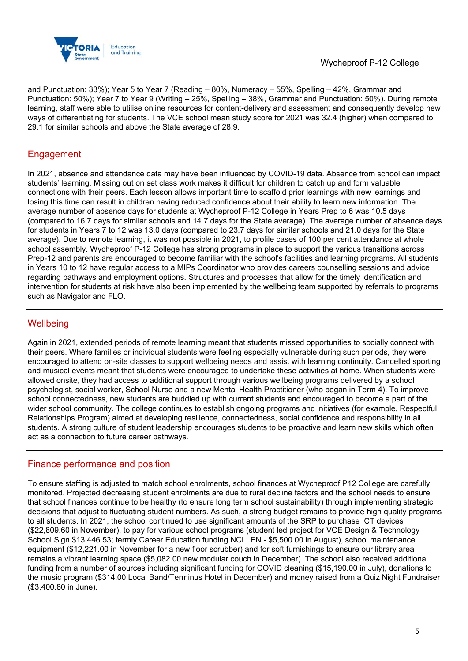

and Punctuation: 33%); Year 5 to Year 7 (Reading – 80%, Numeracy – 55%, Spelling – 42%, Grammar and Punctuation: 50%); Year 7 to Year 9 (Writing – 25%, Spelling – 38%, Grammar and Punctuation: 50%). During remote learning, staff were able to utilise online resources for content-delivery and assessment and consequently develop new ways of differentiating for students. The VCE school mean study score for 2021 was 32.4 (higher) when compared to 29.1 for similar schools and above the State average of 28.9.

## Engagement

In 2021, absence and attendance data may have been influenced by COVID-19 data. Absence from school can impact students' learning. Missing out on set class work makes it difficult for children to catch up and form valuable connections with their peers. Each lesson allows important time to scaffold prior learnings with new learnings and losing this time can result in children having reduced confidence about their ability to learn new information. The average number of absence days for students at Wycheproof P-12 College in Years Prep to 6 was 10.5 days (compared to 16.7 days for similar schools and 14.7 days for the State average). The average number of absence days for students in Years 7 to 12 was 13.0 days (compared to 23.7 days for similar schools and 21.0 days for the State average). Due to remote learning, it was not possible in 2021, to profile cases of 100 per cent attendance at whole school assembly. Wycheproof P-12 College has strong programs in place to support the various transitions across Prep-12 and parents are encouraged to become familiar with the school's facilities and learning programs. All students in Years 10 to 12 have regular access to a MIPs Coordinator who provides careers counselling sessions and advice regarding pathways and employment options. Structures and processes that allow for the timely identification and intervention for students at risk have also been implemented by the wellbeing team supported by referrals to programs such as Navigator and FLO.

## **Wellbeing**

Again in 2021, extended periods of remote learning meant that students missed opportunities to socially connect with their peers. Where families or individual students were feeling especially vulnerable during such periods, they were encouraged to attend on-site classes to support wellbeing needs and assist with learning continuity. Cancelled sporting and musical events meant that students were encouraged to undertake these activities at home. When students were allowed onsite, they had access to additional support through various wellbeing programs delivered by a school psychologist, social worker, School Nurse and a new Mental Health Practitioner (who began in Term 4). To improve school connectedness, new students are buddied up with current students and encouraged to become a part of the wider school community. The college continues to establish ongoing programs and initiatives (for example, Respectful Relationships Program) aimed at developing resilience, connectedness, social confidence and responsibility in all students. A strong culture of student leadership encourages students to be proactive and learn new skills which often act as a connection to future career pathways.

## Finance performance and position

To ensure staffing is adjusted to match school enrolments, school finances at Wycheproof P12 College are carefully monitored. Projected decreasing student enrolments are due to rural decline factors and the school needs to ensure that school finances continue to be healthy (to ensure long term school sustainability) through implementing strategic decisions that adjust to fluctuating student numbers. As such, a strong budget remains to provide high quality programs to all students. In 2021, the school continued to use significant amounts of the SRP to purchase ICT devices (\$22,809.60 in November), to pay for various school programs (student led project for VCE Design & Technology School Sign \$13,446.53; termly Career Education funding NCLLEN - \$5,500.00 in August), school maintenance equipment (\$12,221.00 in November for a new floor scrubber) and for soft furnishings to ensure our library area remains a vibrant learning space (\$5,082.00 new modular couch in December). The school also received additional funding from a number of sources including significant funding for COVID cleaning (\$15,190.00 in July), donations to the music program (\$314.00 Local Band/Terminus Hotel in December) and money raised from a Quiz Night Fundraiser (\$3,400.80 in June).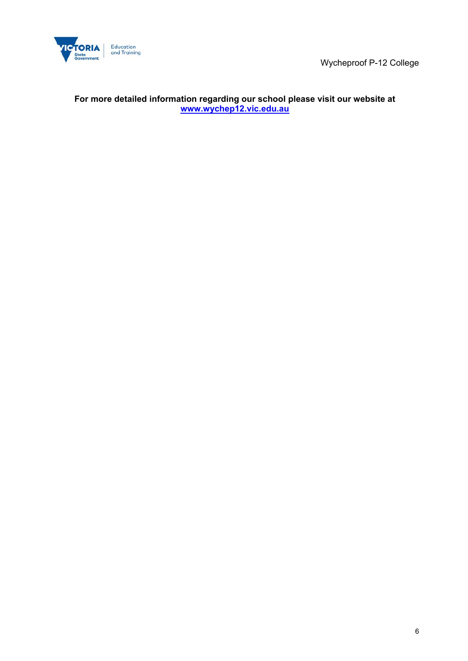



### **For more detailed information regarding our school please visit our website at www.wychep12.vic.edu.au**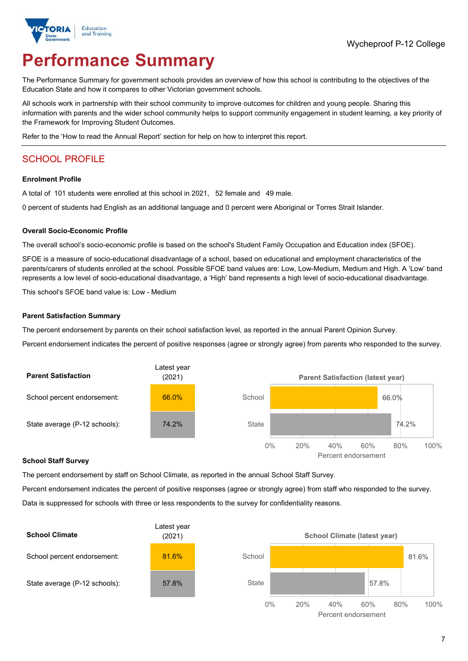

# **Performance Summary**

The Performance Summary for government schools provides an overview of how this school is contributing to the objectives of the Education State and how it compares to other Victorian government schools.

All schools work in partnership with their school community to improve outcomes for children and young people. Sharing this information with parents and the wider school community helps to support community engagement in student learning, a key priority of the Framework for Improving Student Outcomes.

Refer to the 'How to read the Annual Report' section for help on how to interpret this report.

## SCHOOL PROFILE

#### **Enrolment Profile**

A total of 101 students were enrolled at this school in 2021, 52 female and 49 male.

0 percent of students had English as an additional language and 0 percent were Aboriginal or Torres Strait Islander.

#### **Overall Socio-Economic Profile**

The overall school's socio-economic profile is based on the school's Student Family Occupation and Education index (SFOE).

SFOE is a measure of socio-educational disadvantage of a school, based on educational and employment characteristics of the parents/carers of students enrolled at the school. Possible SFOE band values are: Low, Low-Medium, Medium and High. A 'Low' band represents a low level of socio-educational disadvantage, a 'High' band represents a high level of socio-educational disadvantage.

This school's SFOE band value is: Low - Medium

#### **Parent Satisfaction Summary**

The percent endorsement by parents on their school satisfaction level, as reported in the annual Parent Opinion Survey.

Percent endorsement indicates the percent of positive responses (agree or strongly agree) from parents who responded to the survey.



#### **School Staff Survey**

The percent endorsement by staff on School Climate, as reported in the annual School Staff Survey.

Percent endorsement indicates the percent of positive responses (agree or strongly agree) from staff who responded to the survey. Data is suppressed for schools with three or less respondents to the survey for confidentiality reasons.

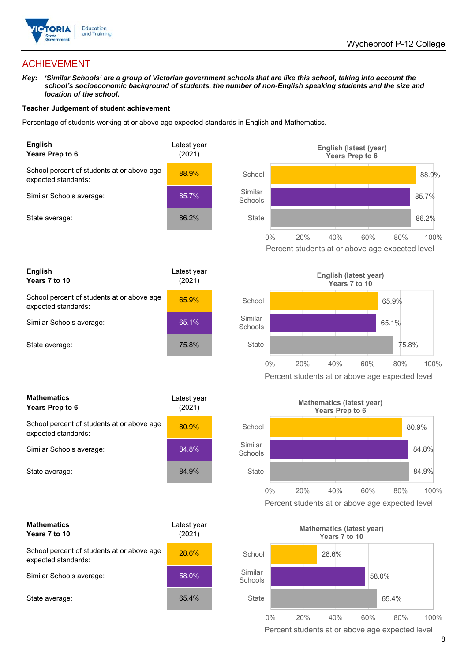

## ACHIEVEMENT

*Key: 'Similar Schools' are a group of Victorian government schools that are like this school, taking into account the*  school's socioeconomic background of students, the number of non-English speaking students and the size and *location of the school.* 

#### **Teacher Judgement of student achievement**

Percentage of students working at or above age expected standards in English and Mathematics.





| <b>Mathematics</b><br>Years Prep to 6                             | Latest year<br>(2021) |  |
|-------------------------------------------------------------------|-----------------------|--|
| School percent of students at or above age<br>expected standards: | 80.9%                 |  |
| Similar Schools average:                                          | 84.8%                 |  |
| State average:                                                    | 84.9%                 |  |

| <b>Mathematics</b><br>Years 7 to 10                               | Latest vear<br>(2021) |  |
|-------------------------------------------------------------------|-----------------------|--|
| School percent of students at or above age<br>expected standards: | <b>28.6%</b>          |  |
| Similar Schools average:                                          | 58.0%                 |  |
| State average:                                                    | 65.4%                 |  |







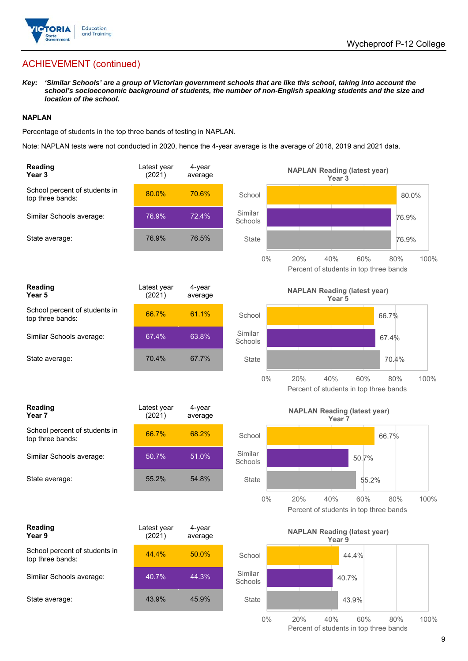

*Key: 'Similar Schools' are a group of Victorian government schools that are like this school, taking into account the school's socioeconomic background of students, the number of non-English speaking students and the size and location of the school.* 

#### **NAPLAN**

Percentage of students in the top three bands of testing in NAPLAN.

Note: NAPLAN tests were not conducted in 2020, hence the 4-year average is the average of 2018, 2019 and 2021 data.

| <b>Reading</b><br>Year <sub>3</sub>               | Latest year<br>(2021) | 4-year<br>average |                    | <b>NAPLAN Reading (latest year)</b><br>Year <sub>3</sub>                   |
|---------------------------------------------------|-----------------------|-------------------|--------------------|----------------------------------------------------------------------------|
| School percent of students in<br>top three bands: | 80.0%                 | 70.6%             | School             | 80.0%                                                                      |
| Similar Schools average:                          | 76.9%                 | 72.4%             | Similar<br>Schools | 76.9%                                                                      |
| State average:                                    | 76.9%                 | 76.5%             | <b>State</b>       | 76.9%                                                                      |
|                                                   |                       |                   | $0\%$              | 20%<br>40%<br>60%<br>100%<br>80%<br>Percent of students in top three bands |
| Reading<br>Year <sub>5</sub>                      | Latest year<br>(2021) | 4-year<br>average |                    | <b>NAPLAN Reading (latest year)</b><br>Year <sub>5</sub>                   |
| School percent of students in<br>top three bands: | 66.7%                 | 61.1%             | School             | 66.7%                                                                      |
| Similar Schools average:                          | 67.4%                 | 63.8%             | Similar<br>Schools | 67.4%                                                                      |
| State average:                                    | 70.4%                 | 67.7%             | <b>State</b>       | 70.4%                                                                      |
|                                                   |                       |                   | $0\%$              | 20%<br>40%<br>60%<br>100%<br>80%<br>Percent of students in top three bands |
| <b>Reading</b><br>Year 7                          | Latest year<br>(2021) | 4-year<br>average |                    | <b>NAPLAN Reading (latest year)</b><br>Year <sub>7</sub>                   |
| School percent of students in<br>top three bands: | 66.7%                 | 68.2%             | School             | 66.7%                                                                      |
| Similar Schools average:                          | 50.7%                 | 51.0%             | Similar<br>Schools | 50.7%                                                                      |
| State average:                                    | 55.2%                 | 54.8%             | <b>State</b>       | 55.2%                                                                      |
|                                                   |                       |                   | $0\%$              | 20%<br>40%<br>60%<br>80%<br>100%<br>Percent of students in top three bands |
| <b>Reading</b><br>Year 9                          | Latest year<br>(2021) | 4-year<br>average |                    | <b>NAPLAN Reading (latest year)</b><br>Year 9                              |
| School percent of students in<br>top three bands: | 44.4%                 | 50.0%             | School             | 44.4%                                                                      |
| Similar Schools average:                          | 40.7%                 | 44.3%             | Similar<br>Schools | 40.7%                                                                      |
| State average:                                    | 43.9%                 | 45.9%             | <b>State</b>       | 43.9%                                                                      |
|                                                   |                       |                   | $0\%$              | 20%<br>40%<br>60%<br>80%<br>100%<br>Percent of students in top three bands |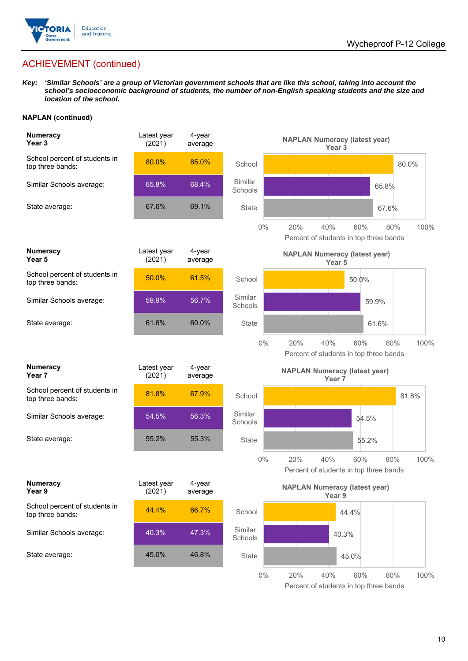

*Key: 'Similar Schools' are a group of Victorian government schools that are like this school, taking into account the school's socioeconomic background of students, the number of non-English speaking students and the size and location of the school.*

#### **NAPLAN (continued)**

| <b>Numeracy</b><br>Year <sub>3</sub>              | Latest year<br>(2021) | 4-year<br>average |                    | <b>NAPLAN Numeracy (latest year)</b><br>Year <sub>3</sub>                  |
|---------------------------------------------------|-----------------------|-------------------|--------------------|----------------------------------------------------------------------------|
| School percent of students in<br>top three bands: | 80.0%                 | 85.0%             | School             | 80.0%                                                                      |
| Similar Schools average:                          | 65.8%                 | 68.4%             | Similar<br>Schools | 65.8%                                                                      |
| State average:                                    | 67.6%                 | 69.1%             | <b>State</b>       | 67.6%                                                                      |
|                                                   |                       |                   | $0\%$              | 20%<br>40%<br>60%<br>80%<br>100%<br>Percent of students in top three bands |
| <b>Numeracy</b><br>Year 5                         | Latest year<br>(2021) | 4-year<br>average |                    | <b>NAPLAN Numeracy (latest year)</b><br>Year 5                             |
| School percent of students in<br>top three bands: | 50.0%                 | 61.5%             | School             | 50.0%                                                                      |
| Similar Schools average:                          | 59.9%                 | 56.7%             | Similar<br>Schools | 59.9%                                                                      |
| State average:                                    | 61.6%                 | 60.0%             | State              | 61.6%                                                                      |
|                                                   |                       |                   | $0\%$              | 40%<br>20%<br>60%<br>80%<br>100%<br>Percent of students in top three bands |
|                                                   |                       |                   |                    |                                                                            |
| <b>Numeracy</b><br>Year 7                         | Latest year<br>(2021) | 4-year<br>average |                    | <b>NAPLAN Numeracy (latest year)</b><br>Year 7                             |
| School percent of students in<br>top three bands: | 81.8%                 | 67.9%             | School             | 81.8%                                                                      |
| Similar Schools average:                          | 54.5%                 | 56.3%             | Similar<br>Schools | 54.5%                                                                      |
| State average:                                    | 55.2%                 | 55.3%             | State              | 55.2%                                                                      |
|                                                   |                       |                   | $0\%$              | 20%<br>40%<br>60%<br>80%<br>100%<br>Percent of students in top three bands |
| <b>Numeracy</b><br>Year 9                         | Latest year<br>(2021) | 4-year<br>average |                    | <b>NAPLAN Numeracy (latest year)</b><br>Year 9                             |
| School percent of students in<br>top three bands: | 44.4%                 | 66.7%             | School             | 44.4%                                                                      |
| Similar Schools average:                          | 40.3%                 | 47.3%             | Similar<br>Schools | 40.3%                                                                      |
| State average:                                    | 45.0%                 | 46.8%             | <b>State</b>       | 45.0%                                                                      |

Percent of students in top three bands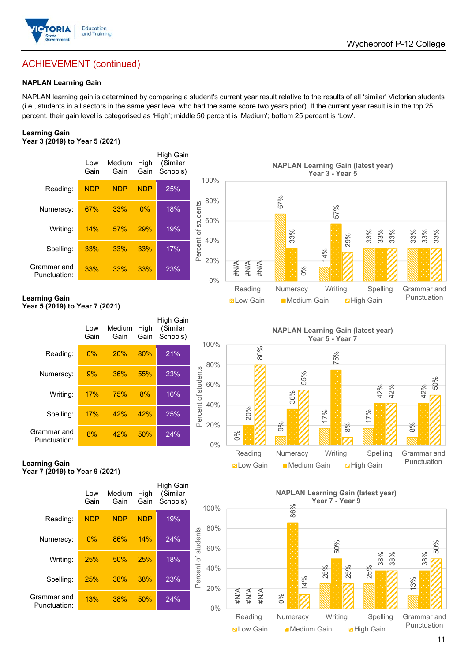

#### **NAPLAN Learning Gain**

NAPLAN learning gain is determined by comparing a student's current year result relative to the results of all 'similar' Victorian students (i.e., students in all sectors in the same year level who had the same score two years prior). If the current year result is in the top 25 percent, their gain level is categorised as 'High'; middle 50 percent is 'Medium'; bottom 25 percent is 'Low'.

#### **Learning Gain Year 3 (2019) to Year 5 (2021)**

|                             | Low<br>Gain | Medium<br>Gain | High<br>Gain | High Gain<br>(Similar<br>Schools) |                           |
|-----------------------------|-------------|----------------|--------------|-----------------------------------|---------------------------|
| Reading:                    | <b>NDP</b>  | <b>NDP</b>     | <b>NDP</b>   | 25%                               |                           |
| Numeracy:                   | 67%         | 33%            | 0%           | 18%                               |                           |
| Writing:                    | 14%         | 57%            | 29%          | 19%                               | سامست المرزبات مكتب المست |
| Spelling:                   | 33%         | 33%            | 33%          | 17%                               |                           |
| Grammar and<br>Punctuation: | 33%         | 33%            | 33%          | 23%                               |                           |



#### **Learning Gain Year 5 (2019) to Year 7 (2021)**

|                             | Low<br>Gain | Medium<br>Gain | High<br>Gain | High Gain<br>(Similar<br>Schools) |                     |
|-----------------------------|-------------|----------------|--------------|-----------------------------------|---------------------|
| Reading:                    | 0%          | 20%            | 80%          | 21%                               |                     |
| Numeracy:                   | 9%          | 36%            | 55%          | 23%                               |                     |
| Writing:                    | 17%         | 75%            | 8%           | 16%                               |                     |
| Spelling:                   | 17%         | 42%            | 42%          | 25%                               | Percent of students |
| Grammar and<br>Punctuation: | 8%          | 42%            | 50%          | 24%                               |                     |





**Learning Gain Year 7 (2019) to Year 9 (2021)** 

|                             | Low<br>Gain | Medium<br>Gain | High<br>Gain | High Gain<br>(Similar<br>Schools) |            |
|-----------------------------|-------------|----------------|--------------|-----------------------------------|------------|
| Reading:                    | <b>NDP</b>  | <b>NDP</b>     | <b>NDP</b>   | 19%                               |            |
| Numeracy:                   | 0%          | 86%            | 14%          | 24%                               | students   |
| Writing:                    | 25%         | 50%            | 25%          | 18%                               |            |
| Spelling:                   | 25%         | 38%            | 38%          | 23%                               | Percent of |
| Grammar and<br>Punctuation: | 13%         | 38%            | 50%          | 24%                               |            |



Reading Numeracy Writing Spelling Grammar and Punctuation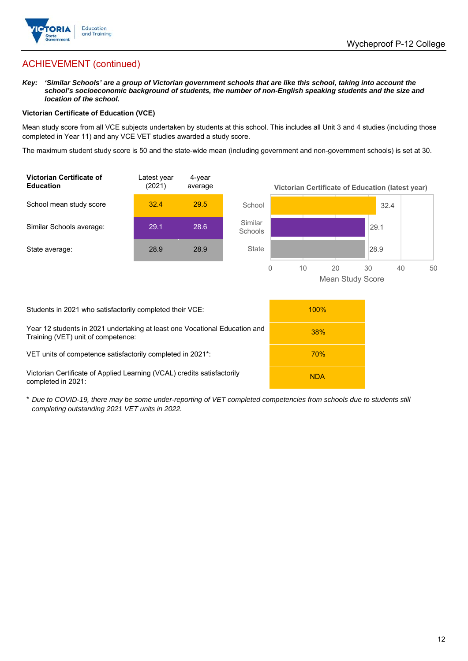

*Key: 'Similar Schools' are a group of Victorian government schools that are like this school, taking into account the*  school's socioeconomic background of students, the number of non-English speaking students and the size and *location of the school.* 

#### **Victorian Certificate of Education (VCE)**

Mean study score from all VCE subjects undertaken by students at this school. This includes all Unit 3 and 4 studies (including those completed in Year 11) and any VCE VET studies awarded a study score.

The maximum student study score is 50 and the state-wide mean (including government and non-government schools) is set at 30.



| Students in 2021 who satisfactorily completed their VCE:                                                         | 100%       |  |
|------------------------------------------------------------------------------------------------------------------|------------|--|
| Year 12 students in 2021 undertaking at least one Vocational Education and<br>Training (VET) unit of competence: | <b>38%</b> |  |
| VET units of competence satisfactorily completed in 2021 <sup>*</sup> :                                          | <b>70%</b> |  |
| Victorian Certificate of Applied Learning (VCAL) credits satisfactorily<br>completed in 2021:                    | <b>NDA</b> |  |

\* *Due to COVID-19, there may be some under-reporting of VET completed competencies from schools due to students still completing outstanding 2021 VET units in 2022.*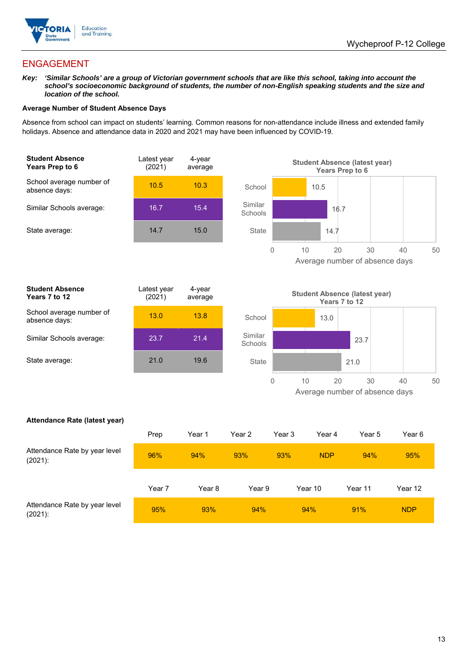

## ENGAGEMENT

*Key: 'Similar Schools' are a group of Victorian government schools that are like this school, taking into account the*  school's socioeconomic background of students, the number of non-English speaking students and the size and *location of the school.* 

#### **Average Number of Student Absence Days**

Absence from school can impact on students' learning. Common reasons for non-attendance include illness and extended family holidays. Absence and attendance data in 2020 and 2021 may have been influenced by COVID-19.





| <b>Student Absence</b><br>Years 7 to 12   | Latest year<br>(2021) | 4-year<br>average |
|-------------------------------------------|-----------------------|-------------------|
| School average number of<br>absence days: | 13.0                  | 13.8              |
| Similar Schools average:                  | 23.7                  | 21.4              |
| State average:                            | 21.0                  | 19.6              |
|                                           |                       |                   |



#### **Attendance Rate (latest year)**

|                                             | Prep   | Year 1 | Year 2 | Year 3 | Year 4     | Year 5  | Year 6     |
|---------------------------------------------|--------|--------|--------|--------|------------|---------|------------|
| Attendance Rate by year level<br>$(2021)$ : | 96%    | 94%    | 93%    | 93%    | <b>NDP</b> | 94%     | 95%        |
|                                             | Year 7 | Year 8 | Year 9 |        | Year 10    | Year 11 | Year 12    |
| Attendance Rate by year level<br>$(2021)$ : | 95%    | 93%    | 94%    |        | 94%        | 91%     | <b>NDP</b> |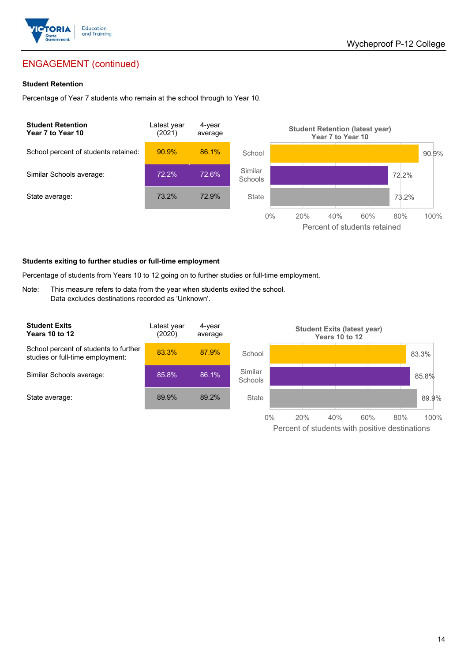

## ENGAGEMENT (continued)

#### **Student Retention**

Percentage of Year 7 students who remain at the school through to Year 10.



#### **Students exiting to further studies or full-time employment**

Percentage of students from Years 10 to 12 going on to further studies or full-time employment.

Note: This measure refers to data from the year when students exited the school. Data excludes destinations recorded as 'Unknown'.

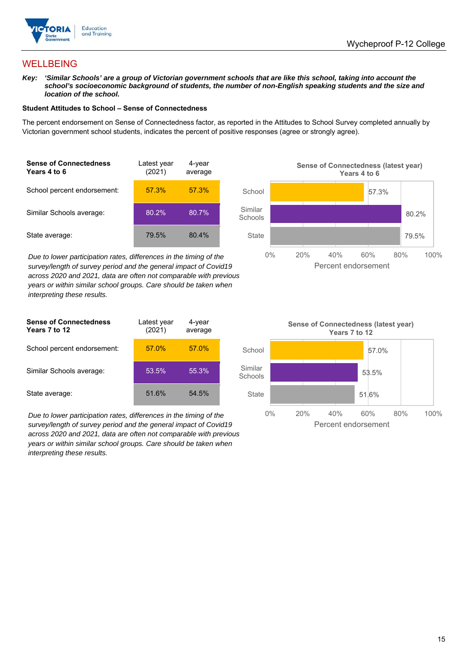

## WELLBEING

*Key: 'Similar Schools' are a group of Victorian government schools that are like this school, taking into account the*  school's socioeconomic background of students, the number of non-English speaking students and the size and *location of the school.* 

#### **Student Attitudes to School – Sense of Connectedness**

The percent endorsement on Sense of Connectedness factor, as reported in the Attitudes to School Survey completed annually by Victorian government school students, indicates the percent of positive responses (agree or strongly agree).

| <b>Sense of Connectedness</b><br>Years 4 to 6 | Latest year<br>(2021) | 4-year<br>average |  |
|-----------------------------------------------|-----------------------|-------------------|--|
| School percent endorsement:                   | 57.3%                 | 57.3%             |  |
| Similar Schools average:                      | 80.2%                 | 80.7%             |  |
| State average:                                | 79.5%                 | 80.4%             |  |

*Due to lower participation rates, differences in the timing of the survey/length of survey period and the general impact of Covid19 across 2020 and 2021, data are often not comparable with previous years or within similar school groups. Care should be taken when interpreting these results.* 



| <b>Sense of Connectedness</b><br>Years 7 to 12 | Latest year<br>(2021) | 4-year<br>average |  |
|------------------------------------------------|-----------------------|-------------------|--|
| School percent endorsement:                    | 57.0%                 | 57.0%             |  |
| Similar Schools average:                       | 53.5%                 | 55.3%             |  |
| State average:                                 | 51.6%                 | 54.5%             |  |

*Due to lower participation rates, differences in the timing of the survey/length of survey period and the general impact of Covid19 across 2020 and 2021, data are often not comparable with previous years or within similar school groups. Care should be taken when interpreting these results.* 

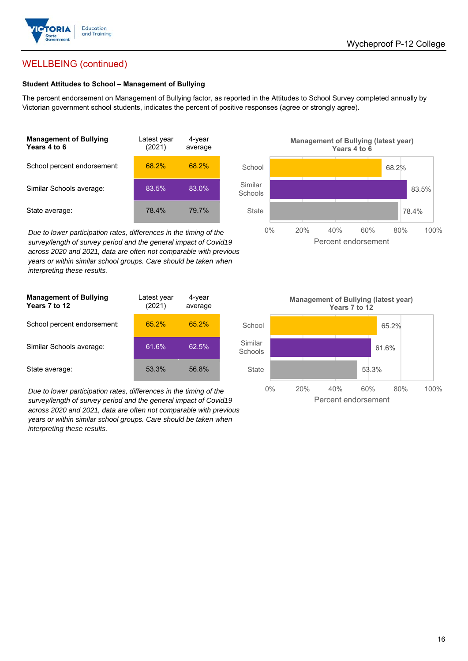

## WELLBEING (continued)

#### **Student Attitudes to School – Management of Bullying**

The percent endorsement on Management of Bullying factor, as reported in the Attitudes to School Survey completed annually by Victorian government school students, indicates the percent of positive responses (agree or strongly agree).

| <b>Management of Bullying</b><br>Years 4 to 6 | Latest year<br>(2021) | 4-year<br>average |  |
|-----------------------------------------------|-----------------------|-------------------|--|
| School percent endorsement:                   | 68.2%                 | 68.2%             |  |
| Similar Schools average:                      | 83.5%                 | 83.0%             |  |
| State average:                                | 78.4%                 | 79.7%             |  |

*Due to lower participation rates, differences in the timing of the survey/length of survey period and the general impact of Covid19 across 2020 and 2021, data are often not comparable with previous years or within similar school groups. Care should be taken when interpreting these results.* 

| <b>Management of Bullying</b><br>Years 7 to 12 | Latest year<br>(2021) | 4-year<br>average |  |
|------------------------------------------------|-----------------------|-------------------|--|
| School percent endorsement:                    | 65.2%                 | 65.2%             |  |
| Similar Schools average:                       | 61.6%                 | 62.5%             |  |
| State average:                                 | 53.3%                 | 56.8%             |  |

*Due to lower participation rates, differences in the timing of the survey/length of survey period and the general impact of Covid19 across 2020 and 2021, data are often not comparable with previous years or within similar school groups. Care should be taken when interpreting these results.* 



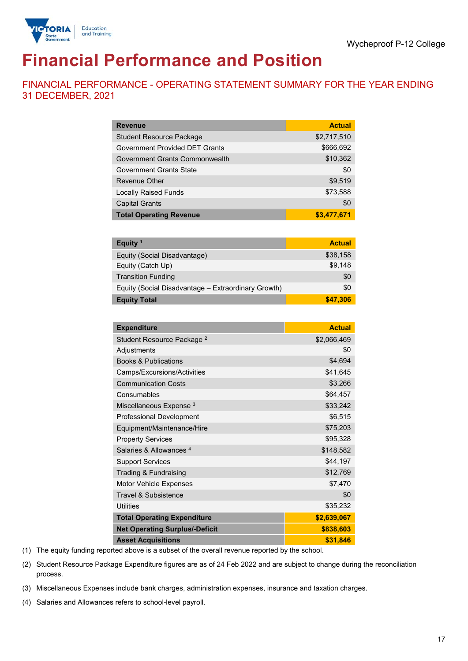

# **Financial Performance and Position**

FINANCIAL PERFORMANCE - OPERATING STATEMENT SUMMARY FOR THE YEAR ENDING 31 DECEMBER, 2021

| <b>Revenue</b>                  | <b>Actual</b> |
|---------------------------------|---------------|
| <b>Student Resource Package</b> | \$2,717,510   |
| Government Provided DET Grants  | \$666,692     |
| Government Grants Commonwealth  | \$10,362      |
| <b>Government Grants State</b>  | \$0           |
| <b>Revenue Other</b>            | \$9,519       |
| <b>Locally Raised Funds</b>     | \$73,588      |
| <b>Capital Grants</b>           | \$0           |
| <b>Total Operating Revenue</b>  | \$3,477,671   |

| Equity <sup>1</sup>                                 | <b>Actual</b> |
|-----------------------------------------------------|---------------|
| Equity (Social Disadvantage)                        | \$38,158      |
| Equity (Catch Up)                                   | \$9.148       |
| <b>Transition Funding</b>                           | \$0           |
| Equity (Social Disadvantage - Extraordinary Growth) | \$0           |
| <b>Equity Total</b>                                 | \$47,306      |

| <b>Expenditure</b>                    | <b>Actual</b> |
|---------------------------------------|---------------|
| Student Resource Package <sup>2</sup> | \$2,066,469   |
| Adjustments                           | \$0           |
| <b>Books &amp; Publications</b>       | \$4,694       |
| Camps/Excursions/Activities           | \$41,645      |
| <b>Communication Costs</b>            | \$3,266       |
| Consumables                           | \$64,457      |
| Miscellaneous Expense <sup>3</sup>    | \$33,242      |
| <b>Professional Development</b>       | \$6,515       |
| Equipment/Maintenance/Hire            | \$75,203      |
| <b>Property Services</b>              | \$95,328      |
| Salaries & Allowances <sup>4</sup>    | \$148,582     |
| <b>Support Services</b>               | \$44,197      |
| Trading & Fundraising                 | \$12,769      |
| <b>Motor Vehicle Expenses</b>         | \$7,470       |
| <b>Travel &amp; Subsistence</b>       | \$0           |
| <b>Utilities</b>                      | \$35,232      |
| <b>Total Operating Expenditure</b>    | \$2,639,067   |
| <b>Net Operating Surplus/-Deficit</b> | \$838,603     |
| <b>Asset Acquisitions</b>             | \$31,846      |

(1) The equity funding reported above is a subset of the overall revenue reported by the school.

(2) Student Resource Package Expenditure figures are as of 24 Feb 2022 and are subject to change during the reconciliation process.

(3) Miscellaneous Expenses include bank charges, administration expenses, insurance and taxation charges.

(4) Salaries and Allowances refers to school-level payroll.